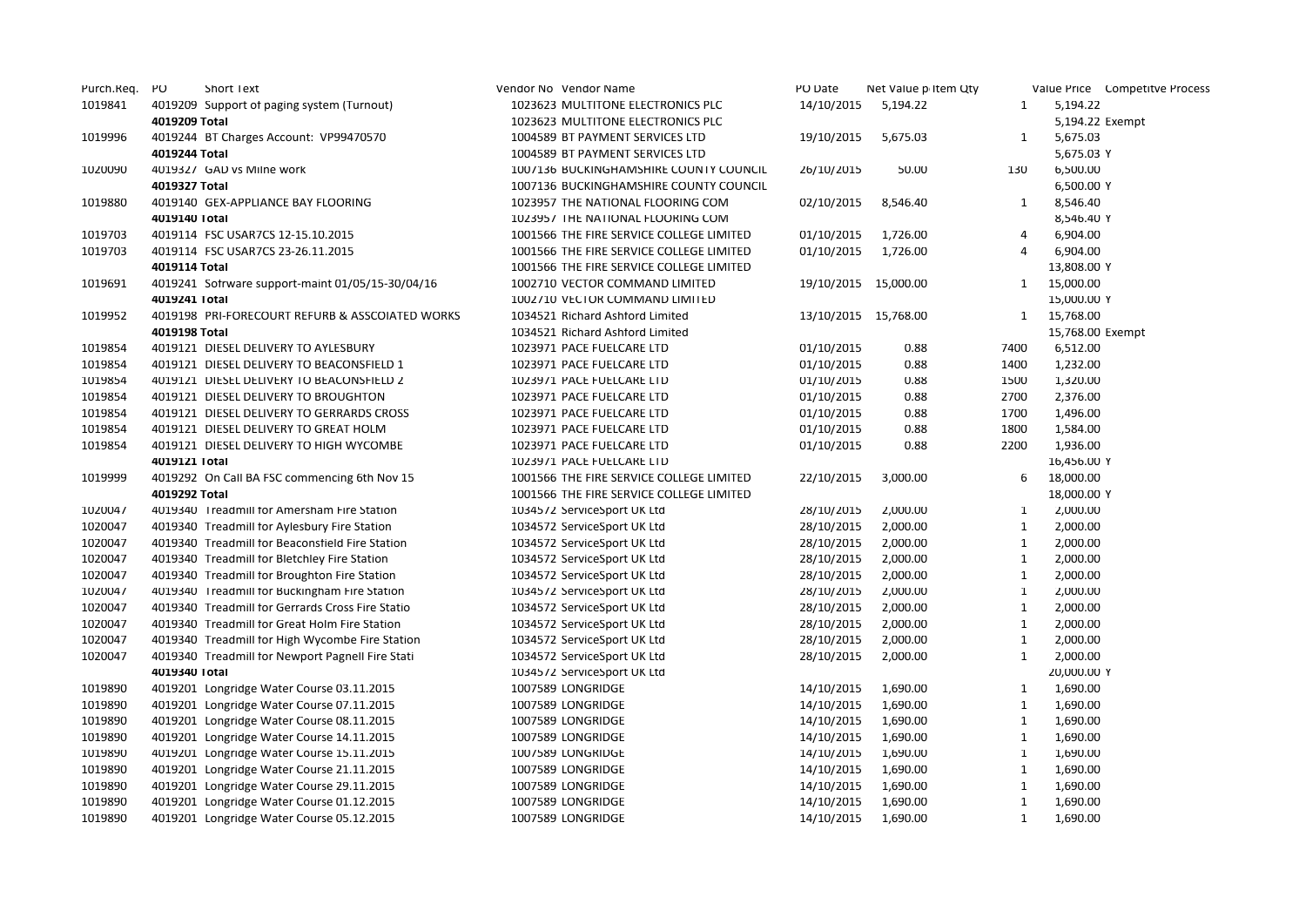| Purch.Req. | PO            | <b>Short Text</b>                                | Vendor No Vendor Name                    | PO Date    | Net Value p Item Qty |              | Value Price Competitve Process |
|------------|---------------|--------------------------------------------------|------------------------------------------|------------|----------------------|--------------|--------------------------------|
| 1019841    |               | 4019209 Support of paging system (Turnout)       | 1023623 MULTITONE ELECTRONICS PLC        | 14/10/2015 | 5,194.22             | $\mathbf{1}$ | 5,194.22                       |
|            | 4019209 Total |                                                  | 1023623 MULTITONE ELECTRONICS PLC        |            |                      |              | 5,194.22 Exempt                |
| 1019996    |               | 4019244 BT Charges Account: VP99470570           | 1004589 BT PAYMENT SERVICES LTD          | 19/10/2015 | 5,675.03             | 1            | 5,675.03                       |
|            | 4019244 Total |                                                  | 1004589 BT PAYMENT SERVICES LTD          |            |                      |              | 5,675.03 Y                     |
| 1020090    |               | 4019327 GAD vs Milne work                        | 1007136 BUCKINGHAMSHIRE COUNTY COUNCIL   | 26/10/2015 | 50.00                | 130          | 6,500.00                       |
|            | 4019327 Total |                                                  | 1007136 BUCKINGHAMSHIRE COUNTY COUNCIL   |            |                      |              | 6,500.00 Y                     |
| 1019880    |               | 4019140 GEX-APPLIANCE BAY FLOORING               | 1023957 THE NATIONAL FLOORING COM        | 02/10/2015 | 8,546.40             | 1            | 8,546.40                       |
|            | 4019140 Total |                                                  | 1023957 THE NATIONAL FLOORING COM        |            |                      |              | 8,546.40 Y                     |
| 1019703    |               | 4019114 FSC USAR7CS 12-15.10.2015                | 1001566 THE FIRE SERVICE COLLEGE LIMITED | 01/10/2015 | 1,726.00             | 4            | 6,904.00                       |
| 1019703    |               | 4019114 FSC USAR7CS 23-26.11.2015                | 1001566 THE FIRE SERVICE COLLEGE LIMITED | 01/10/2015 | 1,726.00             | 4            | 6,904.00                       |
|            | 4019114 Total |                                                  | 1001566 THE FIRE SERVICE COLLEGE LIMITED |            |                      |              | 13,808.00 Y                    |
| 1019691    |               | 4019241 Sotrware support-maint 01/05/15-30/04/16 | 1002710 VECTOR COMMAND LIMITED           |            | 19/10/2015 15,000.00 | 1            | 15,000.00                      |
|            | 4019241 Total |                                                  | 1002710 VECTOR COMMAND LIMITED           |            |                      |              | 15,000.00 Y                    |
| 1019952    |               | 4019198 PRI-FORECOURT REFURB & ASSCOIATED WORKS  | 1034521 Richard Ashford Limited          |            | 13/10/2015 15,768.00 | $\mathbf{1}$ | 15,768.00                      |
|            | 4019198 Total |                                                  | 1034521 Richard Ashford Limited          |            |                      |              | 15,768.00 Exempt               |
| 1019854    |               | 4019121 DIESEL DELIVERY TO AYLESBURY             | 1023971 PACE FUELCARE LTD                | 01/10/2015 | 0.88                 | 7400         | 6,512.00                       |
| 1019854    |               | 4019121 DIESEL DELIVERY TO BEACONSFIELD 1        | 1023971 PACE FUELCARE LTD                | 01/10/2015 | 0.88                 | 1400         | 1,232.00                       |
| 1019854    |               | 4019121 DIESEL DELIVERY TO BEACONSFIELD 2        | 1023971 PACE FUELCARE LTD                | 01/10/2015 | 0.88                 | 1500         | 1,320.00                       |
| 1019854    |               | 4019121 DIESEL DELIVERY TO BROUGHTON             | 1023971 PACE FUELCARE LTD                | 01/10/2015 | 0.88                 | 2700         | 2,376.00                       |
| 1019854    |               | 4019121 DIESEL DELIVERY TO GERRARDS CROSS        | 1023971 PACE FUELCARE LTD                | 01/10/2015 | 0.88                 | 1700         | 1,496.00                       |
| 1019854    |               | 4019121 DIESEL DELIVERY TO GREAT HOLM            | 1023971 PACE FUELCARE LTD                | 01/10/2015 | 0.88                 | 1800         | 1,584.00                       |
| 1019854    |               | 4019121 DIESEL DELIVERY TO HIGH WYCOMBE          | 1023971 PACE FUELCARE LTD                | 01/10/2015 | 0.88                 | 2200         | 1,936.00                       |
|            | 4019121 Total |                                                  | 1023971 PACE FUELCARE LTD                |            |                      |              | 16,456.00 Y                    |
| 1019999    |               | 4019292 On Call BA FSC commencing 6th Nov 15     | 1001566 THE FIRE SERVICE COLLEGE LIMITED | 22/10/2015 | 3,000.00             | 6            | 18,000.00                      |
|            | 4019292 Total |                                                  | 1001566 THE FIRE SERVICE COLLEGE LIMITED |            |                      |              | 18,000.00 Y                    |
| 1020047    |               | 4019340 Treadmill for Amersham Fire Station      | 1034572 ServiceSport UK Ltd              | 28/10/2015 | 2,000.00             | $\mathbf{1}$ | 2,000.00                       |
| 1020047    |               | 4019340 Treadmill for Aylesbury Fire Station     | 1034572 ServiceSport UK Ltd              | 28/10/2015 | 2,000.00             | $\mathbf{1}$ | 2,000.00                       |
| 1020047    |               | 4019340 Treadmill for Beaconstield Fire Station  | 1034572 ServiceSport UK Ltd              | 28/10/2015 | 2,000.00             | $\mathbf{1}$ | 2,000.00                       |
| 1020047    |               | 4019340 Treadmill for Bletchley Fire Station     | 1034572 ServiceSport UK Ltd              | 28/10/2015 | 2,000.00             | $\mathbf{1}$ | 2,000.00                       |
| 1020047    |               | 4019340 Treadmill for Broughton Fire Station     | 1034572 ServiceSport UK Ltd              | 28/10/2015 | 2,000.00             | $\mathbf{1}$ | 2,000.00                       |
| 1020047    |               | 4019340 Treadmill for Buckingham Fire Station    | 1034572 ServiceSport UK Ltd              | 28/10/2015 | 2,000.00             | $\mathbf{1}$ | 2,000.00                       |
| 1020047    |               | 4019340 Treadmill for Gerrards Cross Fire Statio | 1034572 ServiceSport UK Ltd              | 28/10/2015 | 2,000.00             | $\mathbf{1}$ | 2,000.00                       |
| 1020047    |               | 4019340 Treadmill for Great Holm Fire Station    | 1034572 ServiceSport UK Ltd              | 28/10/2015 | 2,000.00             | $\mathbf{1}$ | 2,000.00                       |
| 1020047    |               | 4019340 Treadmill for High Wycombe Fire Station  | 1034572 ServiceSport UK Ltd              | 28/10/2015 | 2,000.00             | $\mathbf{1}$ | 2,000.00                       |
| 1020047    |               | 4019340 Treadmill for Newport Pagnell Fire Stati | 1034572 ServiceSport UK Ltd              | 28/10/2015 | 2,000.00             | $\mathbf{1}$ | 2,000.00                       |
|            | 4019340 Total |                                                  | 1034572 ServiceSport UK Ltd              |            |                      |              | 20,000.00 Y                    |
| 1019890    |               | 4019201 Longridge Water Course 03.11.2015        | 1007589 LONGRIDGE                        | 14/10/2015 | 1,690.00             | $\mathbf{1}$ | 1,690.00                       |
| 1019890    |               | 4019201 Longridge Water Course 07.11.2015        | 1007589 LONGRIDGE                        | 14/10/2015 | 1,690.00             | $\mathbf{1}$ | 1,690.00                       |
| 1019890    |               | 4019201 Longridge Water Course 08.11.2015        | 1007589 LONGRIDGE                        | 14/10/2015 | 1,690.00             | $\mathbf{1}$ | 1,690.00                       |
| 1019890    |               | 4019201 Longridge Water Course 14.11.2015        | 1007589 LONGRIDGE                        | 14/10/2015 | 1,690.00             | $\mathbf{1}$ | 1,690.00                       |
| 1019890    |               | 4019201 Longridge Water Course 15.11.2015        | 1007589 LONGRIDGE                        | 14/10/2015 | 1,690.00             | $\mathbf{1}$ | 1,690.00                       |
| 1019890    |               | 4019201 Longridge Water Course 21.11.2015        | 1007589 LONGRIDGE                        | 14/10/2015 | 1,690.00             | $\mathbf{1}$ | 1,690.00                       |
| 1019890    |               | 4019201 Longridge Water Course 29.11.2015        | 1007589 LONGRIDGE                        | 14/10/2015 | 1,690.00             | $\mathbf{1}$ | 1,690.00                       |
| 1019890    |               | 4019201 Longridge Water Course 01.12.2015        | 1007589 LONGRIDGE                        | 14/10/2015 | 1,690.00             | $\mathbf{1}$ | 1,690.00                       |
| 1019890    |               | 4019201 Longridge Water Course 05.12.2015        | 1007589 LONGRIDGE                        | 14/10/2015 | 1,690.00             | $\mathbf{1}$ | 1,690.00                       |